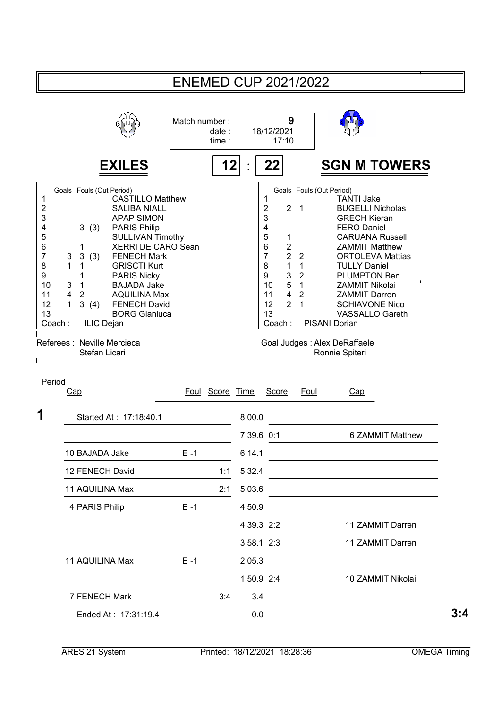|                                                                                                                                                                                                                                                                                                                                                                                                                                                                                                                                                                                    | <b>ENEMED CUP 2021/2022</b> |                |                                                                                                                                                                                                                                                                                                                                                                                                                                                                                                                                                                                                                                                                                                                                                                                                                                                                                         |              |   |  |                   |
|------------------------------------------------------------------------------------------------------------------------------------------------------------------------------------------------------------------------------------------------------------------------------------------------------------------------------------------------------------------------------------------------------------------------------------------------------------------------------------------------------------------------------------------------------------------------------------|-----------------------------|----------------|-----------------------------------------------------------------------------------------------------------------------------------------------------------------------------------------------------------------------------------------------------------------------------------------------------------------------------------------------------------------------------------------------------------------------------------------------------------------------------------------------------------------------------------------------------------------------------------------------------------------------------------------------------------------------------------------------------------------------------------------------------------------------------------------------------------------------------------------------------------------------------------------|--------------|---|--|-------------------|
|                                                                                                                                                                                                                                                                                                                                                                                                                                                                                                                                                                                    | Match number:               | date:<br>time: |                                                                                                                                                                                                                                                                                                                                                                                                                                                                                                                                                                                                                                                                                                                                                                                                                                                                                         |              | 9 |  |                   |
| <b>EXILES</b>                                                                                                                                                                                                                                                                                                                                                                                                                                                                                                                                                                      |                             |                | 18/12/2021<br>17:10<br>12<br>22<br><b>SGN M TOWERS</b><br>Goals Fouls (Out Period)<br>1<br><b>TANTI Jake</b><br>$\overline{2}$<br>2<br><b>BUGELLI Nicholas</b><br>$\overline{\phantom{1}}$<br>3<br><b>GRECH Kieran</b><br>$\overline{\mathbf{4}}$<br><b>FERO Daniel</b><br>5<br><b>CARUANA Russell</b><br>1<br>6<br>$\overline{2}$<br><b>ZAMMIT Matthew</b><br>$\overline{7}$<br>$\overline{2}$<br>$\overline{2}$<br><b>ORTOLEVA Mattias</b><br>8<br>1<br>1<br><b>TULLY Daniel</b><br>9<br>3<br>$\overline{2}$<br><b>PLUMPTON Ben</b><br>5<br>10<br>$\overline{1}$<br><b>ZAMMIT Nikolai</b><br>11<br>4<br>$\overline{2}$<br><b>ZAMMIT Darren</b><br>$\overline{2}$<br>12<br>1<br><b>SCHIAVONE Nico</b><br>13<br><b>VASSALLO Gareth</b><br>Coach:<br><b>PISANI Dorian</b><br>Goal Judges : Alex DeRaffaele<br>Ronnie Spiteri<br>Foul Score Time<br>Foul<br><b>Score</b><br>Cap<br>8:00.0 |              |   |  |                   |
| Goals Fouls (Out Period)<br>1<br><b>CASTILLO Matthew</b><br>2<br><b>SALIBA NIALL</b><br>3<br><b>APAP SIMON</b><br><b>PARIS Philip</b><br>3(3)<br>4<br>5<br><b>SULLIVAN Timothy</b><br>XERRI DE CARO Sean<br>6<br>1<br>7<br><b>FENECH Mark</b><br>3<br>3<br>(3)<br>8<br>1<br><b>GRISCTI Kurt</b><br>1<br>9<br><b>PARIS Nicky</b><br>1<br>10<br><b>BAJADA Jake</b><br>3<br>1<br>11<br><b>AQUILINA Max</b><br>4<br>$\overline{2}$<br>12<br>1<br>3<br><b>FENECH David</b><br>(4)<br>13<br><b>BORG Gianluca</b><br>Coach:<br>ILIC Dejan<br>Referees : Neville Mercieca<br>Stefan Licari |                             |                |                                                                                                                                                                                                                                                                                                                                                                                                                                                                                                                                                                                                                                                                                                                                                                                                                                                                                         |              |   |  |                   |
| Period<br>Cap                                                                                                                                                                                                                                                                                                                                                                                                                                                                                                                                                                      |                             |                |                                                                                                                                                                                                                                                                                                                                                                                                                                                                                                                                                                                                                                                                                                                                                                                                                                                                                         |              |   |  |                   |
| Started At: 17:18:40.1                                                                                                                                                                                                                                                                                                                                                                                                                                                                                                                                                             |                             |                |                                                                                                                                                                                                                                                                                                                                                                                                                                                                                                                                                                                                                                                                                                                                                                                                                                                                                         |              |   |  |                   |
|                                                                                                                                                                                                                                                                                                                                                                                                                                                                                                                                                                                    |                             |                | 7:39.6 0:1                                                                                                                                                                                                                                                                                                                                                                                                                                                                                                                                                                                                                                                                                                                                                                                                                                                                              |              |   |  | 6 ZAMMIT Matthew  |
| 10 BAJADA Jake                                                                                                                                                                                                                                                                                                                                                                                                                                                                                                                                                                     | $E - 1$                     |                | 6:14.1                                                                                                                                                                                                                                                                                                                                                                                                                                                                                                                                                                                                                                                                                                                                                                                                                                                                                  |              |   |  |                   |
| 12 FENECH David                                                                                                                                                                                                                                                                                                                                                                                                                                                                                                                                                                    |                             | 1:1            | 5:32.4                                                                                                                                                                                                                                                                                                                                                                                                                                                                                                                                                                                                                                                                                                                                                                                                                                                                                  |              |   |  |                   |
| 11 AQUILINA Max                                                                                                                                                                                                                                                                                                                                                                                                                                                                                                                                                                    |                             | 2:1            | 5:03.6                                                                                                                                                                                                                                                                                                                                                                                                                                                                                                                                                                                                                                                                                                                                                                                                                                                                                  |              |   |  |                   |
| 4 PARIS Philip                                                                                                                                                                                                                                                                                                                                                                                                                                                                                                                                                                     | $E - 1$                     |                | 4:50.9                                                                                                                                                                                                                                                                                                                                                                                                                                                                                                                                                                                                                                                                                                                                                                                                                                                                                  |              |   |  |                   |
|                                                                                                                                                                                                                                                                                                                                                                                                                                                                                                                                                                                    |                             |                |                                                                                                                                                                                                                                                                                                                                                                                                                                                                                                                                                                                                                                                                                                                                                                                                                                                                                         | 4:39.3 2:2   |   |  | 11 ZAMMIT Darren  |
|                                                                                                                                                                                                                                                                                                                                                                                                                                                                                                                                                                                    |                             |                |                                                                                                                                                                                                                                                                                                                                                                                                                                                                                                                                                                                                                                                                                                                                                                                                                                                                                         | $3:58.1$ 2:3 |   |  | 11 ZAMMIT Darren  |
| 11 AQUILINA Max                                                                                                                                                                                                                                                                                                                                                                                                                                                                                                                                                                    | $E - 1$                     |                | 2:05.3                                                                                                                                                                                                                                                                                                                                                                                                                                                                                                                                                                                                                                                                                                                                                                                                                                                                                  |              |   |  |                   |
|                                                                                                                                                                                                                                                                                                                                                                                                                                                                                                                                                                                    |                             |                |                                                                                                                                                                                                                                                                                                                                                                                                                                                                                                                                                                                                                                                                                                                                                                                                                                                                                         | 1:50.9 2:4   |   |  | 10 ZAMMIT Nikolai |
| 7 FENECH Mark                                                                                                                                                                                                                                                                                                                                                                                                                                                                                                                                                                      |                             | 3:4            | 3.4                                                                                                                                                                                                                                                                                                                                                                                                                                                                                                                                                                                                                                                                                                                                                                                                                                                                                     |              |   |  |                   |
| Ended At: 17:31:19.4                                                                                                                                                                                                                                                                                                                                                                                                                                                                                                                                                               |                             |                | 0.0                                                                                                                                                                                                                                                                                                                                                                                                                                                                                                                                                                                                                                                                                                                                                                                                                                                                                     |              |   |  |                   |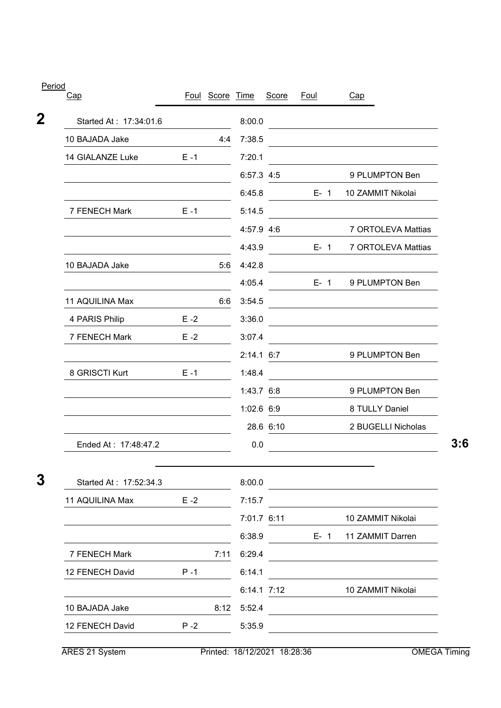| Period<br>Cap          |         | Foul Score Time |              | Score       | <u>Foul</u> | Cap                |
|------------------------|---------|-----------------|--------------|-------------|-------------|--------------------|
| Started At: 17:34:01.6 |         |                 | 8:00.0       |             |             |                    |
| 10 BAJADA Jake         |         | 4:4             | 7:38.5       |             |             |                    |
| 14 GIALANZE Luke       | $E - 1$ |                 | 7:20.1       |             |             |                    |
|                        |         |                 | 6:57.3 4:5   |             |             | 9 PLUMPTON Ben     |
|                        |         |                 | 6:45.8       |             | $E - 1$     | 10 ZAMMIT Nikolai  |
| 7 FENECH Mark          | $E - 1$ |                 | 5:14.5       |             |             |                    |
|                        |         |                 | 4:57.9 4:6   |             |             | 7 ORTOLEVA Mattias |
|                        |         |                 | 4:43.9       |             | $E - 1$     | 7 ORTOLEVA Mattias |
| 10 BAJADA Jake         |         | 5:6             | 4:42.8       |             |             |                    |
|                        |         |                 | 4:05.4       |             | $E - 1$     | 9 PLUMPTON Ben     |
| 11 AQUILINA Max        |         | 6:6             | 3:54.5       |             |             |                    |
| 4 PARIS Philip         | $E - 2$ |                 | 3:36.0       |             |             |                    |
| 7 FENECH Mark          | $E - 2$ |                 | 3:07.4       |             |             |                    |
|                        |         |                 | $2:14.1$ 6:7 |             |             | 9 PLUMPTON Ben     |
| 8 GRISCTI Kurt         | $E - 1$ |                 | 1:48.4       |             |             |                    |
|                        |         |                 | 1:43.7 6:8   |             |             | 9 PLUMPTON Ben     |
|                        |         |                 | 1:02.6 6:9   |             |             | 8 TULLY Daniel     |
|                        |         |                 |              | 28.6 6:10   |             | 2 BUGELLI Nicholas |
| Ended At: 17:48:47.2   |         |                 | 0.0          |             |             |                    |
| Started At: 17:52:34.3 |         |                 | 8:00.0       |             |             |                    |
| 11 AQUILINA Max        | $E - 2$ |                 | 7:15.7       |             |             |                    |
|                        |         |                 | 7:01.7 6:11  |             |             | 10 ZAMMIT Nikolai  |
|                        |         |                 | 6:38.9       |             | $E - 1$     | 11 ZAMMIT Darren   |
| 7 FENECH Mark          |         | 7:11            | 6:29.4       |             |             |                    |
| 12 FENECH David        | $P - 1$ |                 | 6:14.1       |             |             |                    |
|                        |         |                 |              | 6:14.1 7:12 |             | 10 ZAMMIT Nikolai  |
| 10 BAJADA Jake         |         | 8:12            | 5:52.4       |             |             |                    |
| 12 FENECH David        | $P - 2$ |                 | 5:35.9       |             |             |                    |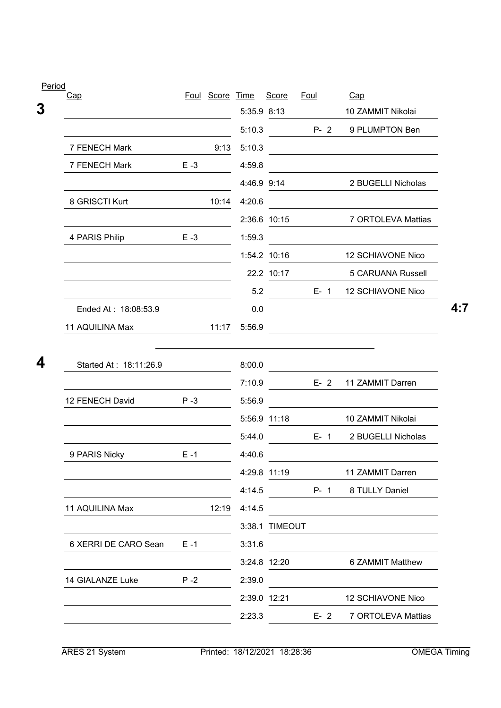| Cap                    |         | Foul Score Time |                  | Score          | <u>Foul</u> | Cap                 |
|------------------------|---------|-----------------|------------------|----------------|-------------|---------------------|
|                        |         |                 | 5:35.9 8:13      |                |             | 10 ZAMMIT Nikolai   |
|                        |         |                 | 5:10.3           |                | $P - 2$     | 9 PLUMPTON Ben      |
| 7 FENECH Mark          |         | 9:13            | 5:10.3           |                |             |                     |
| 7 FENECH Mark          | $E - 3$ |                 | 4:59.8           |                |             |                     |
|                        |         |                 | 4:46.9 9:14      |                |             | 2 BUGELLI Nicholas  |
| 8 GRISCTI Kurt         |         | 10:14           | 4:20.6           |                |             |                     |
|                        |         |                 |                  | 2:36.6 10:15   |             | 7 ORTOLEVA Mattias  |
| 4 PARIS Philip         | $E - 3$ |                 | 1:59.3           |                |             |                     |
|                        |         |                 |                  | 1:54.2 10:16   |             | 12 SCHIAVONE Nico   |
|                        |         |                 |                  | 22.2 10:17     |             | 5 CARUANA Russell   |
|                        |         |                 | 5.2              |                | $E - 1$     | 12 SCHIAVONE Nico   |
| Ended At: 18:08:53.9   |         |                 | 0.0              |                |             |                     |
| 11 AQUILINA Max        |         | 11:17           | 5:56.9           |                |             |                     |
| Started At: 18:11:26.9 |         |                 | 8:00.0<br>7:10.9 |                | $E - 2$     | 11 ZAMMIT Darren    |
| 12 FENECH David        | $P - 3$ |                 | 5:56.9           |                |             |                     |
|                        |         |                 |                  | 5:56.9 11:18   |             | 10 ZAMMIT Nikolai   |
|                        |         |                 | 5:44.0           |                | $E - 1$     | 2 BUGELLI Nicholas  |
| 9 PARIS Nicky          | $E - 1$ |                 | 4:40.6           |                |             |                     |
|                        |         |                 |                  | 4:29.8 11:19   |             | 11 ZAMMIT Darren    |
|                        |         |                 | 4:14.5           |                |             | P- 1 8 TULLY Daniel |
| 11 AQUILINA Max        |         | 12:19           | 4:14.5           |                |             |                     |
|                        |         |                 |                  | 3:38.1 TIMEOUT |             |                     |
| 6 XERRI DE CARO Sean   | $E - 1$ |                 | 3:31.6           | 3:24.8 12:20   |             | 6 ZAMMIT Matthew    |
| 14 GIALANZE Luke       | $P - 2$ |                 | 2:39.0           |                |             |                     |
|                        |         |                 |                  |                |             |                     |
|                        |         |                 |                  | 2:39.0 12:21   |             | 12 SCHIAVONE Nico   |